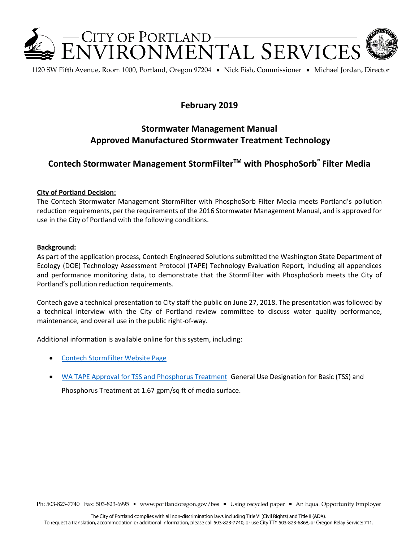

1120 SW Fifth Avenue, Room 1000, Portland, Oregon 97204 • Nick Fish, Commissioner • Michael Jordan, Director

# **February 2019**

# **Stormwater Management Manual Approved Manufactured Stormwater Treatment Technology**

# **Contech Stormwater Management StormFilterTM with PhosphoSorb® Filter Media**

### **City of Portland Decision:**

The Contech Stormwater Management StormFilter with PhosphoSorb Filter Media meets Portland's pollution reduction requirements, per the requirements of the 2016 Stormwater Management Manual, and is approved for use in the City of Portland with the following conditions.

#### **Background:**

As part of the application process, Contech Engineered Solutions submitted the Washington State Department of Ecology (DOE) Technology Assessment Protocol (TAPE) Technology Evaluation Report, including all appendices and performance monitoring data, to demonstrate that the StormFilter with PhosphoSorb meets the City of Portland's pollution reduction requirements.

Contech gave a technical presentation to City staff the public on June 27, 2018. The presentation was followed by a technical interview with the City of Portland review committee to discuss water quality performance, maintenance, and overall use in the public right-of-way.

Additional information is available online for this system, including:

- [Contech StormFilter Website Page](http://www.conteches.com/products/stormwater-management/treatment/stormwater-management-stormfilter)
- [WA TAPE Approval for TSS and Phosphorus Treatment](https://fortress.wa.gov/ecy/wqpds/pds/newtech/use_designations/STORMFILTERphosphosorbCONTECHguld.pdf) General Use Designation for Basic (TSS) and

Phosphorus Treatment at 1.67 gpm/sq ft of media surface.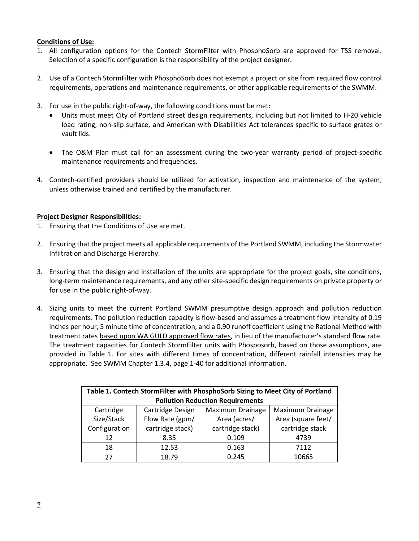## **Conditions of Use:**

- 1. All configuration options for the Contech StormFilter with PhosphoSorb are approved for TSS removal. Selection of a specific configuration is the responsibility of the project designer.
- 2. Use of a Contech StormFilter with PhosphoSorb does not exempt a project or site from required flow control requirements, operations and maintenance requirements, or other applicable requirements of the SWMM.
- 3. For use in the public right-of-way, the following conditions must be met:
	- Units must meet City of Portland street design requirements, including but not limited to H-20 vehicle load rating, non-slip surface, and American with Disabilities Act tolerances specific to surface grates or vault lids.
	- The O&M Plan must call for an assessment during the two-year warranty period of project-specific maintenance requirements and frequencies.
- 4. Contech-certified providers should be utilized for activation, inspection and maintenance of the system, unless otherwise trained and certified by the manufacturer.

### **Project Designer Responsibilities:**

- 1. Ensuring that the Conditions of Use are met.
- 2. Ensuring that the project meets all applicable requirements of the Portland SWMM, including the Stormwater Infiltration and Discharge Hierarchy.
- 3. Ensuring that the design and installation of the units are appropriate for the project goals, site conditions, long-term maintenance requirements, and any other site-specific design requirements on private property or for use in the public right-of-way.
- 4. Sizing units to meet the current Portland SWMM presumptive design approach and pollution reduction requirements. The pollution reduction capacity is flow-based and assumes a treatment flow intensity of 0.19 inches per hour, 5 minute time of concentration, and a 0.90 runoff coefficient using the Rational Method with treatment rates based upon WA GULD approved flow rates, in lieu of the manufacturer's standard flow rate. The treatment capacities for Contech StormFilter units with Phosposorb, based on those assumptions, are provided in Table 1. For sites with different times of concentration, different rainfall intensities may be appropriate. See SWMM Chapter 1.3.4, page 1-40 for additional information.

| Table 1. Contech StormFilter with PhosphoSorb Sizing to Meet City of Portland |                  |                  |                    |
|-------------------------------------------------------------------------------|------------------|------------------|--------------------|
| <b>Pollution Reduction Requirements</b>                                       |                  |                  |                    |
| Cartridge                                                                     | Cartridge Design | Maximum Drainage | Maximum Drainage   |
| Size/Stack                                                                    | Flow Rate (gpm/  | Area (acres/     | Area (square feet/ |
| Configuration                                                                 | cartridge stack) | cartridge stack) | cartridge stack    |
| 12                                                                            | 8.35             | 0.109            | 4739               |
| 18                                                                            | 12.53            | 0.163            | 7112               |
| 27                                                                            | 18.79            | 0.245            | 10665              |